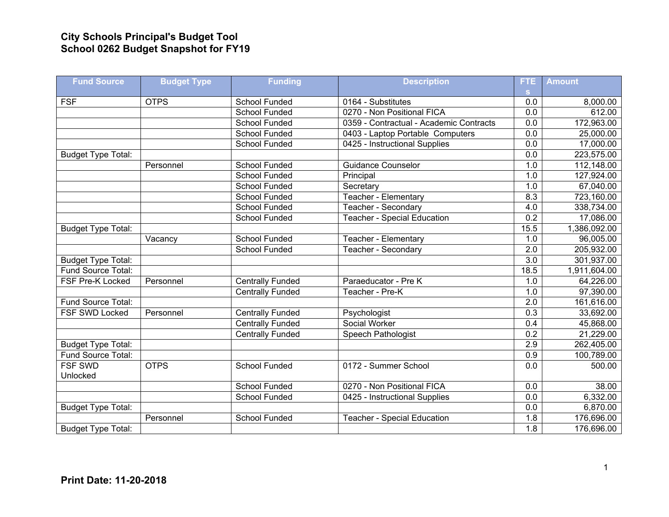## **City Schools Principal's Budget Tool School 0262 Budget Snapshot for FY19**

| <b>Fund Source</b>        | <b>Budget Type</b> | <b>Funding</b>          | <b>Description</b>                      | FTE.             | <b>Amount</b> |
|---------------------------|--------------------|-------------------------|-----------------------------------------|------------------|---------------|
|                           |                    |                         |                                         | S.               |               |
| <b>FSF</b>                | <b>OTPS</b>        | School Funded           | 0164 - Substitutes                      | 0.0              | 8,000.00      |
|                           |                    | <b>School Funded</b>    | 0270 - Non Positional FICA              | 0.0              | 612.00        |
|                           |                    | School Funded           | 0359 - Contractual - Academic Contracts | 0.0              | 172,963.00    |
|                           |                    | <b>School Funded</b>    | 0403 - Laptop Portable Computers        | 0.0              | 25,000.00     |
|                           |                    | School Funded           | 0425 - Instructional Supplies           | $\overline{0.0}$ | 17,000.00     |
| <b>Budget Type Total:</b> |                    |                         |                                         | 0.0              | 223,575.00    |
|                           | Personnel          | <b>School Funded</b>    | <b>Guidance Counselor</b>               | 1.0              | 112,148.00    |
|                           |                    | <b>School Funded</b>    | Principal                               | 1.0              | 127,924.00    |
|                           |                    | <b>School Funded</b>    | Secretary                               | 1.0              | 67,040.00     |
|                           |                    | School Funded           | Teacher - Elementary                    | 8.3              | 723,160.00    |
|                           |                    | School Funded           | Teacher - Secondary                     | 4.0              | 338,734.00    |
|                           |                    | <b>School Funded</b>    | Teacher - Special Education             | 0.2              | 17,086.00     |
| <b>Budget Type Total:</b> |                    |                         |                                         | 15.5             | 1,386,092.00  |
|                           | Vacancy            | <b>School Funded</b>    | Teacher - Elementary                    | 1.0              | 96,005.00     |
|                           |                    | <b>School Funded</b>    | Teacher - Secondary                     | 2.0              | 205,932.00    |
| <b>Budget Type Total:</b> |                    |                         |                                         | $\overline{3.0}$ | 301,937.00    |
| Fund Source Total:        |                    |                         |                                         | 18.5             | 1,911,604.00  |
| FSF Pre-K Locked          | Personnel          | <b>Centrally Funded</b> | Paraeducator - Pre K                    | 1.0              | 64,226.00     |
|                           |                    | <b>Centrally Funded</b> | Teacher - Pre-K                         | 1.0              | 97,390.00     |
| Fund Source Total:        |                    |                         |                                         | $\overline{2.0}$ | 161,616.00    |
| FSF SWD Locked            | Personnel          | <b>Centrally Funded</b> | Psychologist                            | 0.3              | 33,692.00     |
|                           |                    | <b>Centrally Funded</b> | Social Worker                           | 0.4              | 45,868.00     |
|                           |                    | <b>Centrally Funded</b> | Speech Pathologist                      | $\overline{0.2}$ | 21,229.00     |
| <b>Budget Type Total:</b> |                    |                         |                                         | 2.9              | 262,405.00    |
| Fund Source Total:        |                    |                         |                                         | 0.9              | 100,789.00    |
| <b>FSF SWD</b>            | <b>OTPS</b>        | School Funded           | 0172 - Summer School                    | 0.0              | 500.00        |
| Unlocked                  |                    |                         |                                         |                  |               |
|                           |                    | School Funded           | 0270 - Non Positional FICA              | 0.0              | 38.00         |
|                           |                    | <b>School Funded</b>    | 0425 - Instructional Supplies           | 0.0              | 6,332.00      |
| <b>Budget Type Total:</b> |                    |                         |                                         | 0.0              | 6,870.00      |
|                           | Personnel          | <b>School Funded</b>    | <b>Teacher - Special Education</b>      | 1.8              | 176,696.00    |
| <b>Budget Type Total:</b> |                    |                         |                                         | $\overline{1.8}$ | 176,696.00    |